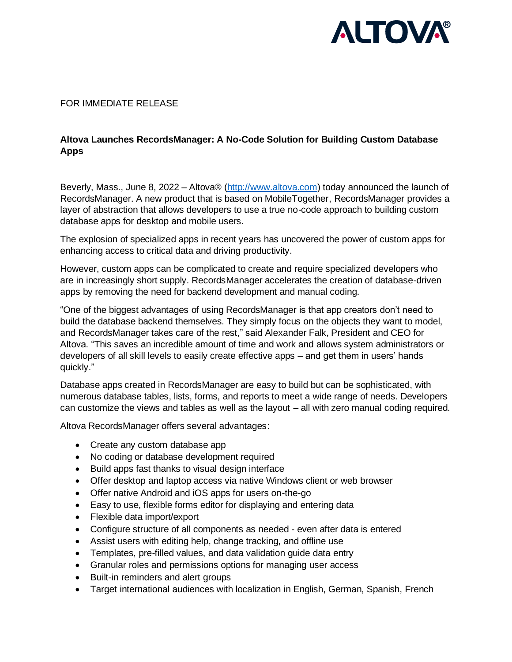

### FOR IMMEDIATE RELEASE

# **Altova Launches RecordsManager: A No-Code Solution for Building Custom Database Apps**

Beverly, Mass., June 8, 2022 – Altova® [\(http://www.altova.com\)](http://www.altova.com/) today announced the launch of RecordsManager. A new product that is based on MobileTogether, RecordsManager provides a layer of abstraction that allows developers to use a true no-code approach to building custom database apps for desktop and mobile users.

The explosion of specialized apps in recent years has uncovered the power of custom apps for enhancing access to critical data and driving productivity.

However, custom apps can be complicated to create and require specialized developers who are in increasingly short supply. RecordsManager accelerates the creation of database-driven apps by removing the need for backend development and manual coding.

"One of the biggest advantages of using RecordsManager is that app creators don't need to build the database backend themselves. They simply focus on the objects they want to model, and RecordsManager takes care of the rest," said Alexander Falk, President and CEO for Altova. "This saves an incredible amount of time and work and allows system administrators or developers of all skill levels to easily create effective apps – and get them in users' hands quickly."

Database apps created in RecordsManager are easy to build but can be sophisticated, with numerous database tables, lists, forms, and reports to meet a wide range of needs. Developers can customize the views and tables as well as the layout – all with zero manual coding required.

Altova RecordsManager offers several advantages:

- Create any custom database app
- No coding or database development required
- Build apps fast thanks to visual design interface
- Offer desktop and laptop access via native Windows client or web browser
- Offer native Android and iOS apps for users on-the-go
- Easy to use, flexible forms editor for displaying and entering data
- Flexible data import/export
- Configure structure of all components as needed even after data is entered
- Assist users with editing help, change tracking, and offline use
- Templates, pre-filled values, and data validation guide data entry
- Granular roles and permissions options for managing user access
- Built-in reminders and alert groups
- Target international audiences with localization in English, German, Spanish, French